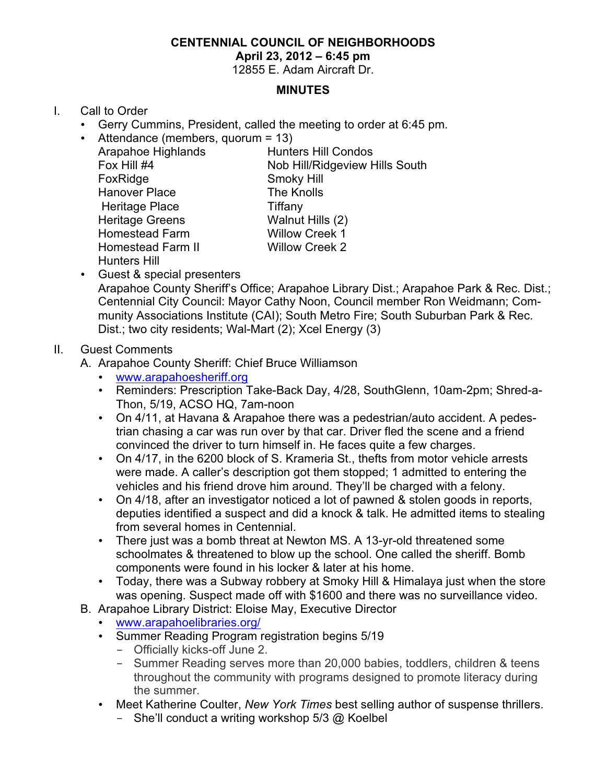# **CENTENNIAL COUNCIL OF NEIGHBORHOODS**

#### **April 23, 2012 – 6:45 pm**

12855 E. Adam Aircraft Dr.

### **MINUTES**

# I. Call to Order

- Gerry Cummins, President, called the meeting to order at 6:45 pm.
- Attendance (members, quorum = 13) Arapahoe Highlands Hunters Hill Condos Fox Hill #4 Nob Hill/Ridgeview Hills South FoxRidge Smoky Hill Hanover Place The Knolls Heritage Place Tiffany Heritage Greens Walnut Hills (2) Homestead Farm Willow Creek 1 Homestead Farm II Willow Creek 2 Hunters Hill
- Guest & special presenters Arapahoe County Sheriff's Office; Arapahoe Library Dist.; Arapahoe Park & Rec. Dist.; Centennial City Council: Mayor Cathy Noon, Council member Ron Weidmann; Community Associations Institute (CAI); South Metro Fire; South Suburban Park & Rec. Dist.; two city residents; Wal-Mart (2); Xcel Energy (3)

# II. Guest Comments

- A. Arapahoe County Sheriff: Chief Bruce Williamson
	- www.arapahoesheriff.org
	- Reminders: Prescription Take-Back Day, 4/28, SouthGlenn, 10am-2pm; Shred-a-Thon, 5/19, ACSO HQ, 7am-noon
	- On 4/11, at Havana & Arapahoe there was a pedestrian/auto accident. A pedestrian chasing a car was run over by that car. Driver fled the scene and a friend convinced the driver to turn himself in. He faces quite a few charges.
	- On 4/17, in the 6200 block of S. Krameria St., thefts from motor vehicle arrests were made. A caller's description got them stopped; 1 admitted to entering the vehicles and his friend drove him around. They'll be charged with a felony.
	- On 4/18, after an investigator noticed a lot of pawned & stolen goods in reports, deputies identified a suspect and did a knock & talk. He admitted items to stealing from several homes in Centennial.
	- There just was a bomb threat at Newton MS. A 13-yr-old threatened some schoolmates & threatened to blow up the school. One called the sheriff. Bomb components were found in his locker & later at his home.
	- Today, there was a Subway robbery at Smoky Hill & Himalaya just when the store was opening. Suspect made off with \$1600 and there was no surveillance video.
- B. Arapahoe Library District: Eloise May, Executive Director
	- www.arapahoelibraries.org/
	- Summer Reading Program registration begins 5/19
		- Officially kicks-off June 2.
		- Summer Reading serves more than 20,000 babies, toddlers, children & teens throughout the community with programs designed to promote literacy during the summer.
	- Meet Katherine Coulter, *New York Times* best selling author of suspense thrillers.
		- She'll conduct a writing workshop  $5/3$  @ Koelbel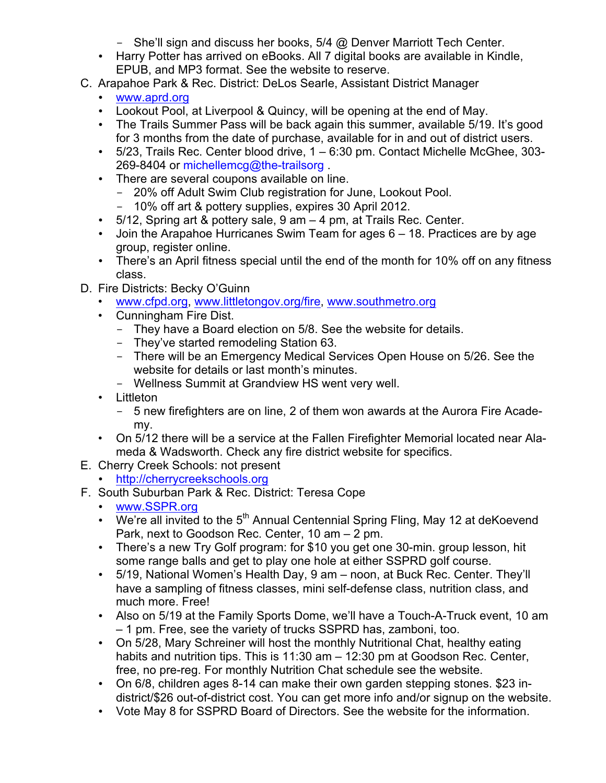- She'll sign and discuss her books,  $5/4$  @ Denver Marriott Tech Center.
- Harry Potter has arrived on eBooks. All 7 digital books are available in Kindle, EPUB, and MP3 format. See the website to reserve.
- C. Arapahoe Park & Rec. District: DeLos Searle, Assistant District Manager
	- www.aprd.org
	- Lookout Pool, at Liverpool & Quincy, will be opening at the end of May.
	- The Trails Summer Pass will be back again this summer, available 5/19. It's good for 3 months from the date of purchase, available for in and out of district users.
	- 5/23, Trails Rec. Center blood drive, 1 6:30 pm. Contact Michelle McGhee, 303- 269-8404 or michellemcg@the-trailsorg.
	- There are several coupons available on line.
		- 20% off Adult Swim Club registration for June, Lookout Pool.
		- 10% off art & pottery supplies, expires 30 April 2012.
	- 5/12, Spring art & pottery sale, 9 am 4 pm, at Trails Rec. Center.
	- Join the Arapahoe Hurricanes Swim Team for ages 6 18. Practices are by age group, register online.
	- There's an April fitness special until the end of the month for 10% off on any fitness class.
- D. Fire Districts: Becky O'Guinn
	- www.cfpd.org, www.littletongov.org/fire, www.southmetro.org
	- Cunningham Fire Dist.
		- They have a Board election on 5/8. See the website for details.
		- They've started remodeling Station 63.
		- There will be an Emergency Medical Services Open House on 5/26. See the website for details or last month's minutes.
		- Wellness Summit at Grandview HS went very well.
	- Littleton
		- 5 new firefighters are on line, 2 of them won awards at the Aurora Fire Academy.
	- On 5/12 there will be a service at the Fallen Firefighter Memorial located near Alameda & Wadsworth. Check any fire district website for specifics.
- E. Cherry Creek Schools: not present
	- http://cherrycreekschools.org
- F. South Suburban Park & Rec. District: Teresa Cope
	- www.SSPR.org
	- We're all invited to the  $5<sup>th</sup>$  Annual Centennial Spring Fling, May 12 at deKoevend Park, next to Goodson Rec. Center, 10 am – 2 pm.
	- There's a new Try Golf program: for \$10 you get one 30-min. group lesson, hit some range balls and get to play one hole at either SSPRD golf course.
	- 5/19, National Women's Health Day, 9 am noon, at Buck Rec. Center. They'll have a sampling of fitness classes, mini self-defense class, nutrition class, and much more. Free!
	- Also on 5/19 at the Family Sports Dome, we'll have a Touch-A-Truck event, 10 am – 1 pm. Free, see the variety of trucks SSPRD has, zamboni, too.
	- On 5/28, Mary Schreiner will host the monthly Nutritional Chat, healthy eating habits and nutrition tips. This is 11:30 am – 12:30 pm at Goodson Rec. Center, free, no pre-reg. For monthly Nutrition Chat schedule see the website.
	- On 6/8, children ages 8-14 can make their own garden stepping stones. \$23 indistrict/\$26 out-of-district cost. You can get more info and/or signup on the website.
	- Vote May 8 for SSPRD Board of Directors. See the website for the information.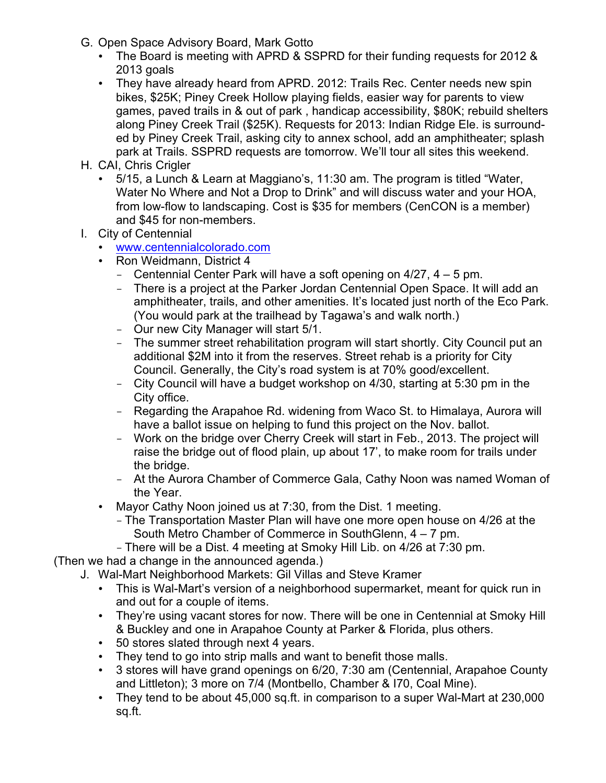- G. Open Space Advisory Board, Mark Gotto
	- The Board is meeting with APRD & SSPRD for their funding requests for 2012 & 2013 goals
	- They have already heard from APRD. 2012: Trails Rec. Center needs new spin bikes, \$25K; Piney Creek Hollow playing fields, easier way for parents to view games, paved trails in & out of park , handicap accessibility, \$80K; rebuild shelters along Piney Creek Trail (\$25K). Requests for 2013: Indian Ridge Ele. is surrounded by Piney Creek Trail, asking city to annex school, add an amphitheater; splash park at Trails. SSPRD requests are tomorrow. We'll tour all sites this weekend.
- H. CAI, Chris Crigler
	- 5/15, a Lunch & Learn at Maggiano's, 11:30 am. The program is titled "Water, Water No Where and Not a Drop to Drink" and will discuss water and your HOA, from low-flow to landscaping. Cost is \$35 for members (CenCON is a member) and \$45 for non-members.
- I. City of Centennial
	- www.centennialcolorado.com
	- Ron Weidmann, District 4
		- Centennial Center Park will have a soft opening on  $4/27$ ,  $4 5$  pm.
		- There is a project at the Parker Jordan Centennial Open Space. It will add an amphitheater, trails, and other amenities. It's located just north of the Eco Park. (You would park at the trailhead by Tagawa's and walk north.)
		- Our new City Manager will start 5/1.
		- The summer street rehabilitation program will start shortly. City Council put an additional \$2M into it from the reserves. Street rehab is a priority for City Council. Generally, the City's road system is at 70% good/excellent.
		- City Council will have a budget workshop on 4/30, starting at 5:30 pm in the City office.
		- Regarding the Arapahoe Rd. widening from Waco St. to Himalaya, Aurora will have a ballot issue on helping to fund this project on the Nov. ballot.
		- Work on the bridge over Cherry Creek will start in Feb., 2013. The project will raise the bridge out of flood plain, up about 17', to make room for trails under the bridge.
		- At the Aurora Chamber of Commerce Gala, Cathy Noon was named Woman of the Year.
	- Mayor Cathy Noon joined us at 7:30, from the Dist. 1 meeting.
		- The Transportation Master Plan will have one more open house on 4/26 at the South Metro Chamber of Commerce in SouthGlenn, 4 – 7 pm.
		- There will be a Dist. 4 meeting at Smoky Hill Lib. on 4/26 at 7:30 pm.

(Then we had a change in the announced agenda.)

- J. Wal-Mart Neighborhood Markets: Gil Villas and Steve Kramer
	- This is Wal-Mart's version of a neighborhood supermarket, meant for quick run in and out for a couple of items.
	- They're using vacant stores for now. There will be one in Centennial at Smoky Hill & Buckley and one in Arapahoe County at Parker & Florida, plus others.
	- 50 stores slated through next 4 years.
	- They tend to go into strip malls and want to benefit those malls.
	- 3 stores will have grand openings on 6/20, 7:30 am (Centennial, Arapahoe County and Littleton); 3 more on 7/4 (Montbello, Chamber & I70, Coal Mine).
	- They tend to be about 45,000 sq.ft. in comparison to a super Wal-Mart at 230,000 sq.ft.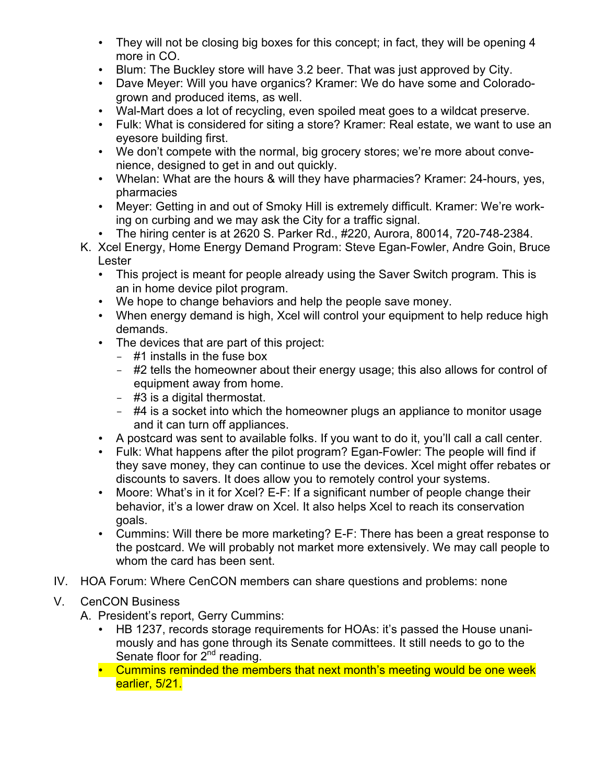- They will not be closing big boxes for this concept; in fact, they will be opening 4 more in CO.
- Blum: The Buckley store will have 3.2 beer. That was just approved by City.
- Dave Meyer: Will you have organics? Kramer: We do have some and Coloradogrown and produced items, as well.
- Wal-Mart does a lot of recycling, even spoiled meat goes to a wildcat preserve.
- Fulk: What is considered for siting a store? Kramer: Real estate, we want to use an eyesore building first.
- We don't compete with the normal, big grocery stores; we're more about convenience, designed to get in and out quickly.
- Whelan: What are the hours & will they have pharmacies? Kramer: 24-hours, yes, pharmacies
- Meyer: Getting in and out of Smoky Hill is extremely difficult. Kramer: We're working on curbing and we may ask the City for a traffic signal.
- The hiring center is at 2620 S. Parker Rd., #220, Aurora, 80014, 720-748-2384.
- K. Xcel Energy, Home Energy Demand Program: Steve Egan-Fowler, Andre Goin, Bruce Lester
	- This project is meant for people already using the Saver Switch program. This is an in home device pilot program.
	- We hope to change behaviors and help the people save money.
	- When energy demand is high, Xcel will control your equipment to help reduce high demands.
	- The devices that are part of this project:
		- #1 installs in the fuse box
		- #2 tells the homeowner about their energy usage; this also allows for control of equipment away from home.
		- #3 is a digital thermostat.
		- #4 is a socket into which the homeowner plugs an appliance to monitor usage and it can turn off appliances.
	- A postcard was sent to available folks. If you want to do it, you'll call a call center.
	- Fulk: What happens after the pilot program? Egan-Fowler: The people will find if they save money, they can continue to use the devices. Xcel might offer rebates or discounts to savers. It does allow you to remotely control your systems.
	- Moore: What's in it for Xcel? E-F: If a significant number of people change their behavior, it's a lower draw on Xcel. It also helps Xcel to reach its conservation goals.
	- Cummins: Will there be more marketing? E-F: There has been a great response to the postcard. We will probably not market more extensively. We may call people to whom the card has been sent.
- IV. HOA Forum: Where CenCON members can share questions and problems: none
- V. CenCON Business
	- A. President's report, Gerry Cummins:
		- HB 1237, records storage requirements for HOAs: it's passed the House unanimously and has gone through its Senate committees. It still needs to go to the Senate floor for  $2^{nd}$  reading.
		- Cummins reminded the members that next month's meeting would be one week earlier, 5/21.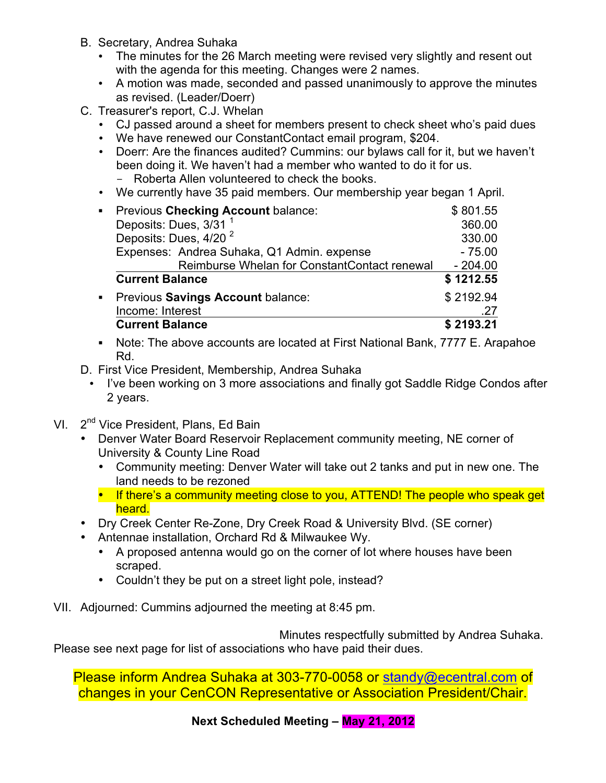- B. Secretary, Andrea Suhaka
	- The minutes for the 26 March meeting were revised very slightly and resent out with the agenda for this meeting. Changes were 2 names.
	- A motion was made, seconded and passed unanimously to approve the minutes as revised. (Leader/Doerr)
- C. Treasurer's report, C.J. Whelan
	- CJ passed around a sheet for members present to check sheet who's paid dues
	- We have renewed our ConstantContact email program, \$204.
	- Doerr: Are the finances audited? Cummins: our bylaws call for it, but we haven't been doing it. We haven't had a member who wanted to do it for us. - Roberta Allen volunteered to check the books.
	- We currently have 35 paid members. Our membership year began 1 April.

| Previous Checking Account balance:           | \$801.55  |
|----------------------------------------------|-----------|
| Deposits: Dues, 3/31 <sup>1</sup>            | 360.00    |
| Deposits: Dues, 4/20 <sup>2</sup>            | 330.00    |
| Expenses: Andrea Suhaka, Q1 Admin. expense   | $-75.00$  |
| Reimburse Whelan for ConstantContact renewal | $-204.00$ |
| <b>Current Balance</b>                       | \$1212.55 |
| • Previous Savings Account balance:          | \$2192.94 |
| Income: Interest                             | .27       |
| <b>Current Balance</b>                       | \$2193.21 |

- ! Note: The above accounts are located at First National Bank, 7777 E. Arapahoe Rd.
- D. First Vice President, Membership, Andrea Suhaka
	- I've been working on 3 more associations and finally got Saddle Ridge Condos after 2 years.
- VI. 2<sup>nd</sup> Vice President, Plans, Ed Bain
	- Denver Water Board Reservoir Replacement community meeting, NE corner of University & County Line Road
		- Community meeting: Denver Water will take out 2 tanks and put in new one. The land needs to be rezoned
		- If there's a community meeting close to you, ATTEND! The people who speak get heard.
	- Dry Creek Center Re-Zone, Dry Creek Road & University Blvd. (SE corner)
	- Antennae installation, Orchard Rd & Milwaukee Wy.
		- A proposed antenna would go on the corner of lot where houses have been scraped.
		- Couldn't they be put on a street light pole, instead?
- VII. Adjourned: Cummins adjourned the meeting at 8:45 pm.

Minutes respectfully submitted by Andrea Suhaka. Please see next page for list of associations who have paid their dues.

Please inform Andrea Suhaka at 303-770-0058 or standy@ecentral.com of changes in your CenCON Representative or Association President/Chair.

**Next Scheduled Meeting – May 21, 2012**